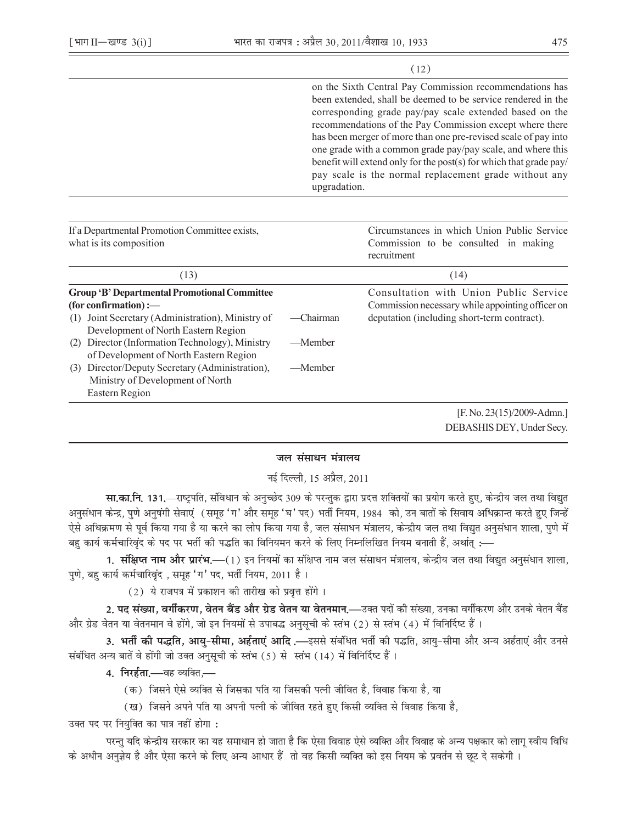$(12)$ 

|                                                                                                                                      |           | on the Sixth Central Pay Commission recommendations has<br>been extended, shall be deemed to be service rendered in the<br>corresponding grade pay/pay scale extended based on the<br>recommendations of the Pay Commission except where there<br>has been merger of more than one pre-revised scale of pay into<br>one grade with a common grade pay/pay scale, and where this<br>benefit will extend only for the post(s) for which that grade pay/<br>pay scale is the normal replacement grade without any<br>upgradation. |  |  |
|--------------------------------------------------------------------------------------------------------------------------------------|-----------|--------------------------------------------------------------------------------------------------------------------------------------------------------------------------------------------------------------------------------------------------------------------------------------------------------------------------------------------------------------------------------------------------------------------------------------------------------------------------------------------------------------------------------|--|--|
|                                                                                                                                      |           |                                                                                                                                                                                                                                                                                                                                                                                                                                                                                                                                |  |  |
| If a Departmental Promotion Committee exists,<br>what is its composition                                                             |           | Circumstances in which Union Public Service<br>Commission to be consulted in making<br>recruitment                                                                                                                                                                                                                                                                                                                                                                                                                             |  |  |
| (13)                                                                                                                                 |           | (14)                                                                                                                                                                                                                                                                                                                                                                                                                                                                                                                           |  |  |
| <b>Group 'B' Departmental Promotional Committee</b><br>(for confirmation) :-<br>Joint Secretary (Administration), Ministry of<br>(1) | -Chairman | Consultation with Union Public Service<br>Commission necessary while appointing officer on<br>deputation (including short-term contract).                                                                                                                                                                                                                                                                                                                                                                                      |  |  |
| Development of North Eastern Region                                                                                                  |           |                                                                                                                                                                                                                                                                                                                                                                                                                                                                                                                                |  |  |
| Director (Information Technology), Ministry<br>(2)<br>of Development of North Eastern Region                                         | —Member   |                                                                                                                                                                                                                                                                                                                                                                                                                                                                                                                                |  |  |
| Director/Deputy Secretary (Administration),<br>(3)<br>Ministry of Development of North                                               | —Member   |                                                                                                                                                                                                                                                                                                                                                                                                                                                                                                                                |  |  |
| Eastern Region                                                                                                                       |           |                                                                                                                                                                                                                                                                                                                                                                                                                                                                                                                                |  |  |
|                                                                                                                                      |           | [F. No. 23(15)/2009-Admn.]                                                                                                                                                                                                                                                                                                                                                                                                                                                                                                     |  |  |

DEBASHIS DEY, Under Secy.

# जल संसाधन मंत्रालय

## नई दिल्ली, 15 अप्रैल, 2011

सा.का.नि. 131.—राष्ट्रपति, संविधान के अनुच्छेद 309 के परन्तुक द्वारा प्रदत्त शक्तियों का प्रयोग करते हुए, केन्द्रीय जल तथा विद्युत अनुसंधान केन्द्र, पुणे अनुषंगी सेवाएं (समूह 'ग' और समूह 'घ' पद) भर्ती नियम, 1984 को, उन बातों के सिवाय अधिक्रान्त करते हुए जिन्हें ऐसे अधिक्रमण से पूर्व किया गया है या करने का लोप किया गया है, जल संसाधन मंत्रालय, केन्द्रीय जल तथा विद्युत अनुसंधान शाला, पुणे में बहु कार्य कर्मचारिवृंद के पद पर भर्ती की पद्धति का विनियमन करने के लिए निम्नलिखित नियम बनाती हैं, अर्थात् :—

1. संक्षिप्त नाम और प्रारंभ.—(1) इन नियमों का संक्षिप्त नाम जल संसाधन मंत्रालय, केन्द्रीय जल तथा विद्युत अनुसंधान शाला, पुणे, बहु कार्य कर्मचारिवृंद , समूह 'ग' पद, भर्ती नियम, 2011 है।

(2) ये राजपत्र में प्रकाशन की तारीख को प्रवृत्त होंगे।

2. पद संख्या, वर्गीकरण, वेतन बैंड और ग्रेड वेतन या वेतनमान.—उक्त पदों की संख्या, उनका वर्गीकरण और उनके वेतन बैंड और ग्रेड वेतन या वेतनमान वे होंगे, जो इन नियमों से उपाबद्ध अनुसूची के स्तंभ (2) से स्तंभ (4) में विनिर्दिष्ट हैं।

3. **भर्ती की पद्धति, आयु-सीमा, अर्हताएं आदि** .—इससे संबंधित भर्ती की पद्धति, आयु-सीमा और अन्य अर्हताएं और उनसे संबंधित अन्य बातें वे होंगी जो उक्त अनुसूची के स्तंभ (5) से स्तंभ (14) में विनिर्दिष्ट हैं।

4. निरर्हता.—वह व्यक्ति.—

- (क) जिसने ऐसे व्यक्ति से जिसका पति या जिसकी पत्नी जीवित है, विवाह किया है, या
- (ख) जिसने अपने पति या अपनी पत्नी के जीवित रहते हुए किसी व्यक्ति से विवाह किया है,

उक्त पद पर नियुक्ति का पात्र नहीं होगा :

परन्तु यदि केन्द्रीय सरकार का यह समाधान हो जाता है कि ऐसा विवाह ऐसे व्यक्ति और विवाह के अन्य पक्षकार को लागू स्वीय विधि के अधीन अनुज्ञेय है और ऐसा करने के लिए अन्य आधार हैं तो वह किसी व्यक्ति को इस नियम के प्रवर्तन से छूट दे सकेगी ।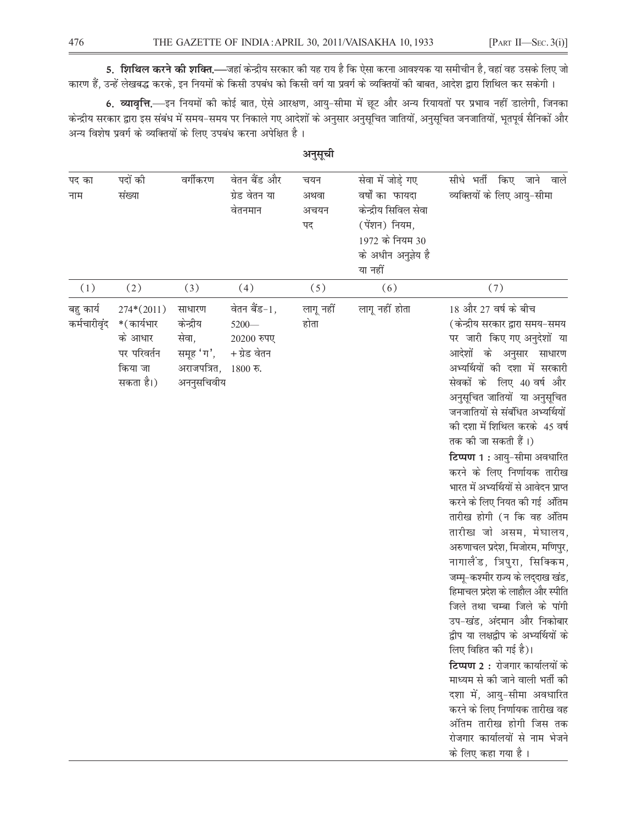5. शिथिल करने की शक्ति.—जहां केन्द्रीय सरकार की यह राय है कि ऐसा करना आवश्यक या समीचीन है, वहां वह उसके लिए जो कारण हैं, उन्हें लेखबद्ध करके, इन नियमों के किसी उपबंध को किसी वर्ग या प्रवर्ग के व्यक्तियों की बाबत, आदेश द्वारा शिथिल कर सकेगी।

6. व्यावृत्ति.—इन नियमों की कोई बात, ऐसे आरक्षण, आयु-सीमा में छूट और अन्य रियायतों पर प्रभाव नहीं डालेगी, जिनका केन्द्रीय सरकार द्वारा इस संबंध में समय–समय पर निकाले गए आदेशों के अनुसार अनुसूचित जातियों, अनुसूचित जनजातियों, भूतपूर्व सैनिकों और अन्य विशेष प्रवर्ग के व्यक्तियों के लिए उपबंध करना अपेक्षित है।

| पद का<br>नाम              | पदों की<br>संख्या                                                            | वर्गीकरण                                                                        | वेतन बैंड और<br>ग्रेड वेतन या<br>वेतनमान               | चयन<br>अथवा<br>अचयन<br>पद | सेवा में जोड़े गए<br>वर्षों का फायदा<br>केन्द्रीय सिविल सेवा<br>(पेंशन) नियम,<br>1972 के नियम 30<br>के अधीन अनुज़ेय है<br>या नहीं | सीधे भर्ती किए जाने वाले<br>व्यक्तियों के लिए आयु-सीमा                                                                                                                                                                                                                                                                                                                                                                                                                                                                                                                                                                                                                                                                                                                                                                                                                                                                                                                                               |
|---------------------------|------------------------------------------------------------------------------|---------------------------------------------------------------------------------|--------------------------------------------------------|---------------------------|-----------------------------------------------------------------------------------------------------------------------------------|------------------------------------------------------------------------------------------------------------------------------------------------------------------------------------------------------------------------------------------------------------------------------------------------------------------------------------------------------------------------------------------------------------------------------------------------------------------------------------------------------------------------------------------------------------------------------------------------------------------------------------------------------------------------------------------------------------------------------------------------------------------------------------------------------------------------------------------------------------------------------------------------------------------------------------------------------------------------------------------------------|
| (1)                       | (2)                                                                          | (3)                                                                             | (4)                                                    | (5)                       | (6)                                                                                                                               | (7)                                                                                                                                                                                                                                                                                                                                                                                                                                                                                                                                                                                                                                                                                                                                                                                                                                                                                                                                                                                                  |
| बहु कार्य<br>कर्मचारीवृंद | $274*(2011)$<br>*(कार्यभार<br>के आधार<br>पर परिवर्तन<br>किया जा<br>सकता है।) | साधारण<br>केन्द्रीय<br>सेवा,<br>समूह 'ग',<br>अराजपत्रित, 1800 रु.<br>अननुसचिवीय | वेतन बैंड-1,<br>$5200 -$<br>20200 रुपए<br>+ ग्रेड वेतन | लागू नहीं<br>होता         | लागू नहीं होता                                                                                                                    | 18 और 27 वर्ष के बीच<br>(केन्द्रीय सरकार द्वारा समय-समय<br>पर जारी किए गए अनुदेशों या<br>आदेशों के अनुसार साधारण<br>अभ्यर्थियों की दशा में सरकारी<br>सेवकों के लिए 40 वर्ष और<br>अनुसूचित जातियों या अनुसूचित<br>जनजातियों से संबंधित अभ्यर्थियों<br>की दशा में शिथिल करके 45 वर्ष<br>तक की जा सकती हैं।)<br>टिप्पण 1: आयु-सीमा अवधारित<br>करने के लिए निर्णायक तारीख<br>भारत में अभ्यर्थियों से आवेदन प्राप्त<br>करने के लिए नियत की गई अंतिम<br>तारीख होगी (न कि वह अंतिम<br>तारीख जो असम, मेघालय,<br>अरुणाचल प्रदेश, मिजोरम, मणिपुर,<br>नागालैंड, त्रिपुरा, सिक्किम,<br>जम्मू-कश्मीर राज्य के लद्दाख खंड,<br>हिमाचल प्रदेश के लाहौल और स्पीति<br>जिले तथा चम्बा जिले के पांगी<br>उप-खंड, अंदमान और निकोबार<br>द्वीप या लक्षद्वीप के अभ्यर्थियों के<br>लिए विहित की गई है)।<br>टिप्पण 2 : रोजगार कार्यालयों के<br>माध्यम से की जाने वाली भर्ती की<br>दशा में, आयु-सीमा अवधारित<br>करने के लिए निर्णायक तारीख वह<br>अंतिम तारीख होगी जिस तक<br>रोजगार कार्यालयों से नाम भेजने<br>के लिए कहा गया है। |

अनुसूची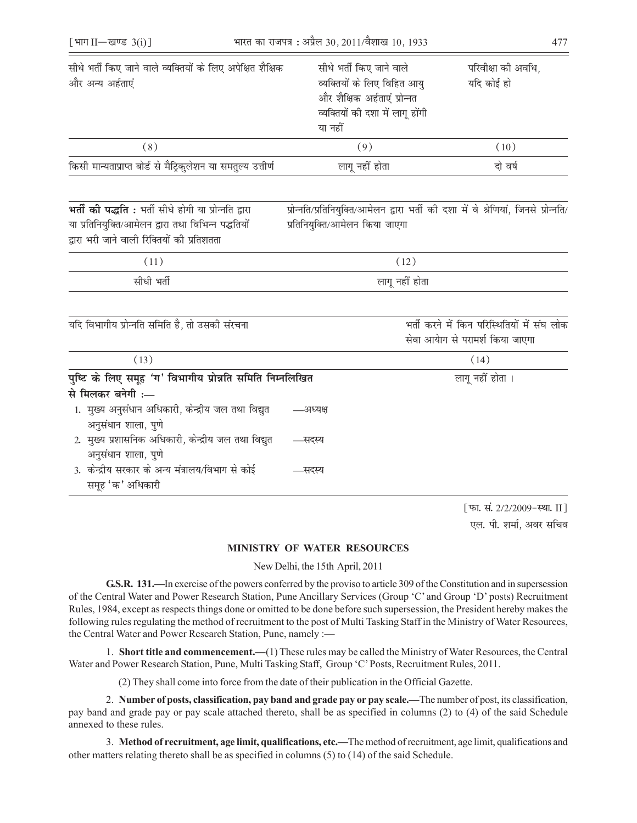| सीधे भर्ती किए जाने वाले व्यक्तियों के लिए अपेक्षित शैक्षिक<br>और अन्य अर्हताएं                                                                            | सीधे भर्ती किए जाने वाले<br>व्यक्तियों के लिए विहित आयु<br>और शैक्षिक अर्हताएं प्रोन्नत<br>व्यक्तियों की दशा में लागू होंगी<br>या नहीं |  | परिवीक्षा की अवधि,<br>यदि कोई हो                                                     |  |
|------------------------------------------------------------------------------------------------------------------------------------------------------------|----------------------------------------------------------------------------------------------------------------------------------------|--|--------------------------------------------------------------------------------------|--|
| (8)                                                                                                                                                        | (9)                                                                                                                                    |  | (10)                                                                                 |  |
| किसी मान्यताप्राप्त बोर्ड से मैट्रिकुलेशन या समतुल्य उत्तीर्ण                                                                                              | लागू नहीं होता                                                                                                                         |  | दो वर्ष                                                                              |  |
| भर्ती की पद्धति: भर्ती सीधे होगी या प्रोन्नति द्वारा<br>या प्रतिनियुक्ति/आमेलन द्वारा तथा विभिन्न पद्धतियों<br>द्वारा भरी जाने वाली रिक्तियों की प्रतिशतता | प्रतिनियुक्ति/आमेलन किया जाएगा                                                                                                         |  | प्रोन्नति/प्रतिनियुक्ति/आमेलन द्वारा भर्ती की दशा में वे श्रेणियां, जिनसे प्रोन्नति/ |  |
| (11)                                                                                                                                                       | (12)                                                                                                                                   |  |                                                                                      |  |
| सीधी भर्ती                                                                                                                                                 | लागू नहीं होता                                                                                                                         |  |                                                                                      |  |
| यदि विभागीय प्रोन्नति समिति है, तो उसकी संरचना                                                                                                             |                                                                                                                                        |  | भर्ती करने में किन परिस्थितियों में संघ लोक<br>सेवा आयेाग से परामर्श किया जाएगा      |  |
| (13)                                                                                                                                                       |                                                                                                                                        |  | (14)                                                                                 |  |
| पुष्टि के लिए समूह 'ग' विभागीय प्रोन्नति समिति निम्नलिखित<br>से मिलकर बनेगी :—<br>1. मुख्य अनुसंधान अधिकारी, केन्द्रीय जल तथा विद्युत                      | –अध्यक्ष                                                                                                                               |  | लागू नहीं होता ।                                                                     |  |
| अनुसंधान शाला, पुणे<br>2. मुख्य प्रशासनिक अधिकारी, केन्द्रीय जल तथा विद्युत                                                                                | —सदस्य                                                                                                                                 |  |                                                                                      |  |
| अनुसंधान शाला, पुणे<br>3.  केन्द्रीय सरकार के अन्य मंत्रालय/विभाग से कोई<br>समूह 'क' अधिकारी                                                               | —सदस्य                                                                                                                                 |  |                                                                                      |  |
|                                                                                                                                                            |                                                                                                                                        |  |                                                                                      |  |

[फा. सं. 2/2/2009-स्था. II] एल. पी. शर्मा. अवर सचिव

#### **MINISTRY OF WATER RESOURCES**

New Delhi, the 15th April, 2011

G.S.R. 131.—In exercise of the powers conferred by the proviso to article 309 of the Constitution and in supersession of the Central Water and Power Research Station, Pune Ancillary Services (Group 'C' and Group 'D' posts) Recruitment Rules, 1984, except as respects things done or omitted to be done before such supersession, the President hereby makes the following rules regulating the method of recruitment to the post of Multi Tasking Staff in the Ministry of Water Resources, the Central Water and Power Research Station, Pune, namely :-

1. Short title and commencement.—(1) These rules may be called the Ministry of Water Resources, the Central Water and Power Research Station, Pune, Multi Tasking Staff, Group 'C' Posts, Recruitment Rules, 2011.

(2) They shall come into force from the date of their publication in the Official Gazette.

2. Number of posts, classification, pay band and grade pay or pay scale.—The number of post, its classification, pay band and grade pay or pay scale attached thereto, shall be as specified in columns (2) to (4) of the said Schedule annexed to these rules.

3. Method of recruitment, age limit, qualifications, etc.—The method of recruitment, age limit, qualifications and other matters relating thereto shall be as specified in columns (5) to (14) of the said Schedule.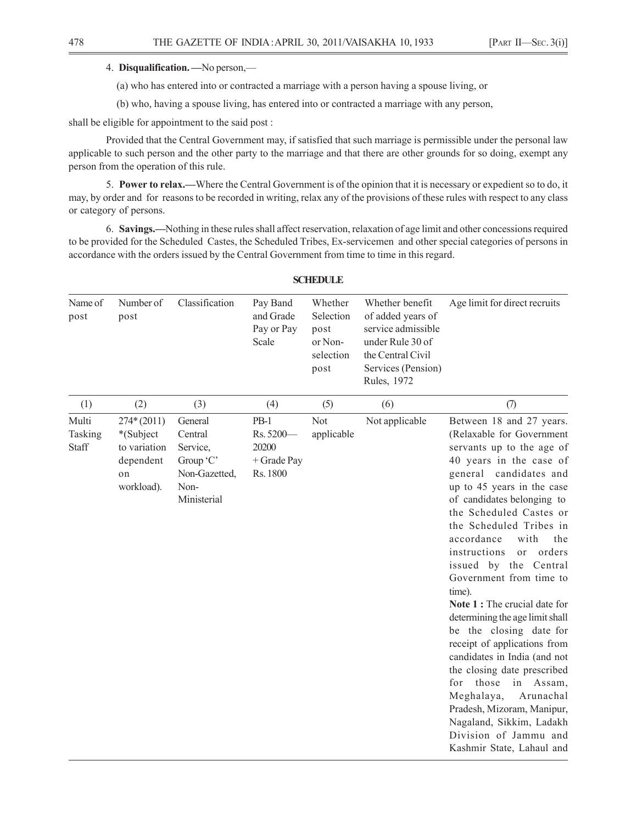#### 4. **Disqualification. —**No person,—

(a) who has entered into or contracted a marriage with a person having a spouse living, or

(b) who, having a spouse living, has entered into or contracted a marriage with any person,

shall be eligible for appointment to the said post :

Provided that the Central Government may, if satisfied that such marriage is permissible under the personal law applicable to such person and the other party to the marriage and that there are other grounds for so doing, exempt any person from the operation of this rule.

5. **Power to relax.—**Where the Central Government is of the opinion that it is necessary or expedient so to do, it may, by order and for reasons to be recorded in writing, relax any of the provisions of these rules with respect to any class or category of persons.

6. **Savings.—**Nothing in these rules shall affect reservation, relaxation of age limit and other concessions required to be provided for the Scheduled Castes, the Scheduled Tribes, Ex-servicemen and other special categories of persons in accordance with the orders issued by the Central Government from time to time in this regard.

| Name of<br>post           | Number of<br>post                                                          | Classification                                                                      | Pay Band<br>and Grade<br>Pay or Pay<br>Scale              | Whether<br>Selection<br>post<br>or Non-<br>selection<br>post | Whether benefit<br>of added years of<br>service admissible<br>under Rule 30 of<br>the Central Civil<br>Services (Pension)<br>Rules, 1972 | Age limit for direct recruits                                                                                                                                                                                                                                                                                                                                                                                                                                                                                                                                                                                                                                                                                                                                 |
|---------------------------|----------------------------------------------------------------------------|-------------------------------------------------------------------------------------|-----------------------------------------------------------|--------------------------------------------------------------|------------------------------------------------------------------------------------------------------------------------------------------|---------------------------------------------------------------------------------------------------------------------------------------------------------------------------------------------------------------------------------------------------------------------------------------------------------------------------------------------------------------------------------------------------------------------------------------------------------------------------------------------------------------------------------------------------------------------------------------------------------------------------------------------------------------------------------------------------------------------------------------------------------------|
| (1)                       | (2)                                                                        | (3)                                                                                 | (4)                                                       | (5)                                                          | (6)                                                                                                                                      | (7)                                                                                                                                                                                                                                                                                                                                                                                                                                                                                                                                                                                                                                                                                                                                                           |
| Multi<br>Tasking<br>Staff | $274*(2011)$<br>*(Subject<br>to variation<br>dependent<br>on<br>workload). | General<br>Central<br>Service,<br>Group 'C'<br>Non-Gazetted,<br>Non-<br>Ministerial | $PB-1$<br>Rs. 5200-<br>20200<br>$+$ Grade Pay<br>Rs. 1800 | Not<br>applicable                                            | Not applicable                                                                                                                           | Between 18 and 27 years.<br>(Relaxable for Government<br>servants up to the age of<br>40 years in the case of<br>general candidates and<br>up to 45 years in the case<br>of candidates belonging to<br>the Scheduled Castes or<br>the Scheduled Tribes in<br>accordance<br>with<br>the<br>instructions<br>orders<br>or<br>issued by the Central<br>Government from time to<br>time).<br>Note 1 : The crucial date for<br>determining the age limit shall<br>be the closing date for<br>receipt of applications from<br>candidates in India (and not<br>the closing date prescribed<br>those<br>in<br>for<br>Assam,<br>Meghalaya,<br>Arunachal<br>Pradesh, Mizoram, Manipur,<br>Nagaland, Sikkim, Ladakh<br>Division of Jammu and<br>Kashmir State, Lahaul and |

### **SCHEDULE**